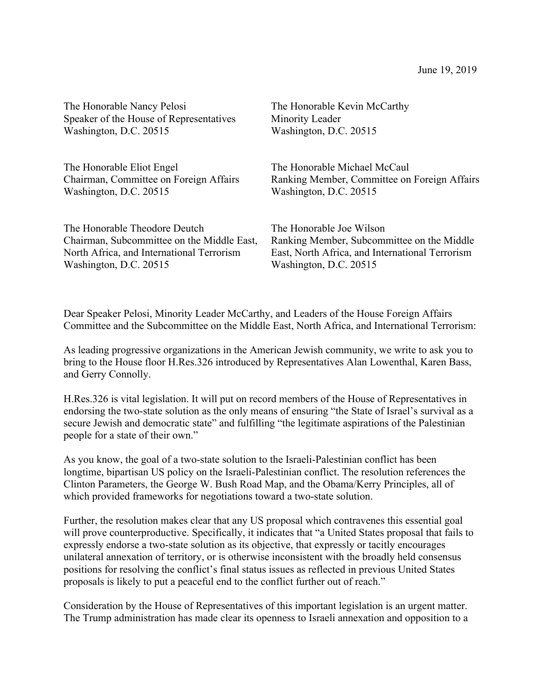| The Honorable Nancy Pelosi                 | The Honorable Kevin McCarthy                    |
|--------------------------------------------|-------------------------------------------------|
| Speaker of the House of Representatives    | Minority Leader                                 |
| Washington, D.C. 20515                     | Washington, D.C. 20515                          |
| The Honorable Eliot Engel                  | The Honorable Michael McCaul                    |
| Chairman, Committee on Foreign Affairs     | Ranking Member, Committee on Foreign Affairs    |
| Washington, D.C. 20515                     | Washington, D.C. 20515                          |
| The Honorable Theodore Deutch              | The Honorable Joe Wilson                        |
| Chairman, Subcommittee on the Middle East, | Ranking Member, Subcommittee on the Middle      |
| North Africa, and International Terrorism  | East, North Africa, and International Terrorism |
| Washington, D.C. 20515                     | Washington, D.C. 20515                          |

Dear Speaker Pelosi, Minority Leader McCarthy, and Leaders of the House Foreign Affairs Committee and the Subcommittee on the Middle East, North Africa, and International Terrorism:

As leading progressive organizations in the American Jewish community, we write to ask you to bring to the House floor H.Res.326 introduced by Representatives Alan Lowenthal, Karen Bass, and Gerry Connolly.

H.Res.326 is vital legislation. It will put on record members of the House of Representatives in endorsing the two-state solution as the only means of ensuring "the State of Israel's survival as a secure Jewish and democratic state" and fulfilling "the legitimate aspirations of the Palestinian people for a state of their own."

As you know, the goal of a two-state solution to the Israeli-Palestinian conflict has been longtime, bipartisan US policy on the Israeli-Palestinian conflict. The resolution references the Clinton Parameters, the George W. Bush Road Map, and the Obama/Kerry Principles, all of which provided frameworks for negotiations toward a two-state solution.

Further, the resolution makes clear that any US proposal which contravenes this essential goal will prove counterproductive. Specifically, it indicates that "a United States proposal that fails to expressly endorse a two-state solution as its objective, that expressly or tacitly encourages unilateral annexation of territory, or is otherwise inconsistent with the broadly held consensus positions for resolving the conflict's final status issues as reflected in previous United States proposals is likely to put a peaceful end to the conflict further out of reach."

Consideration by the House of Representatives of this important legislation is an urgent matter. The Trump administration has made clear its openness to Israeli annexation and opposition to a